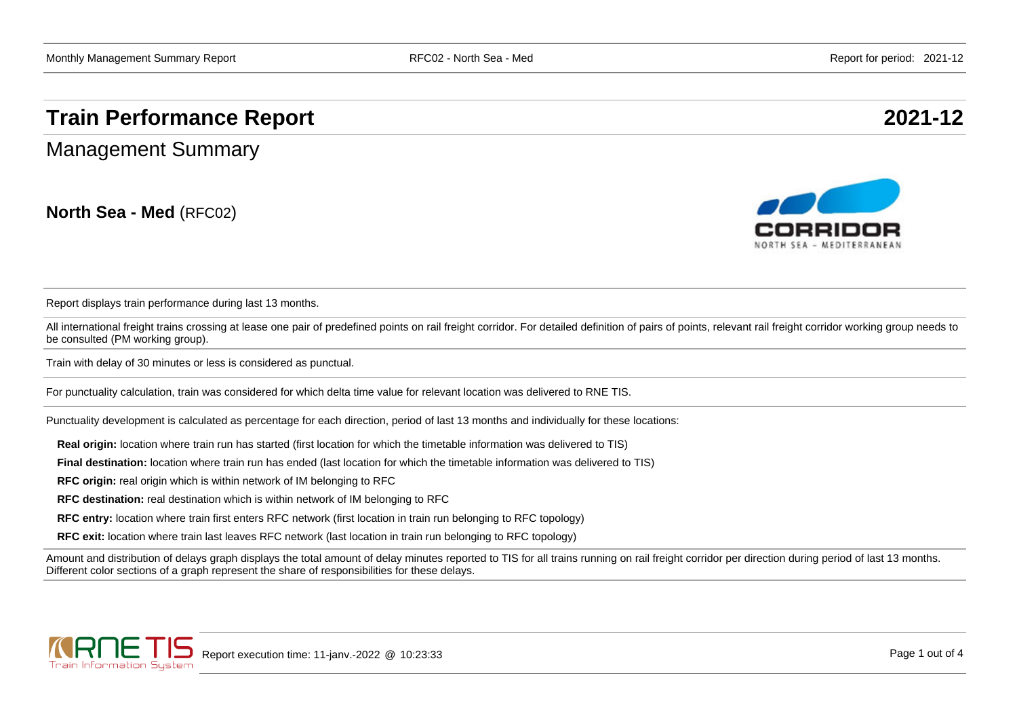## **Train Performance Report 2021-12**

Management Summary

**North Sea - Med** (RFC02)



Report displays train performance during last 13 months.

All international freight trains crossing at lease one pair of predefined points on rail freight corridor. For detailed definition of pairs of points, relevant rail freight corridor working group needs to be consulted (PM working group).

Train with delay of 30 minutes or less is considered as punctual.

For punctuality calculation, train was considered for which delta time value for relevant location was delivered to RNE TIS.

Punctuality development is calculated as percentage for each direction, period of last 13 months and individually for these locations:

**Real origin:** location where train run has started (first location for which the timetable information was delivered to TIS)

**Final destination:** location where train run has ended (last location for which the timetable information was delivered to TIS)

**RFC origin:** real origin which is within network of IM belonging to RFC

**RFC destination:** real destination which is within network of IM belonging to RFC

**RFC entry:** location where train first enters RFC network (first location in train run belonging to RFC topology)

**RFC exit:** location where train last leaves RFC network (last location in train run belonging to RFC topology)

Amount and distribution of delays graph displays the total amount of delay minutes reported to TIS for all trains running on rail freight corridor per direction during period of last 13 months. Different color sections of a graph represent the share of responsibilities for these delays.

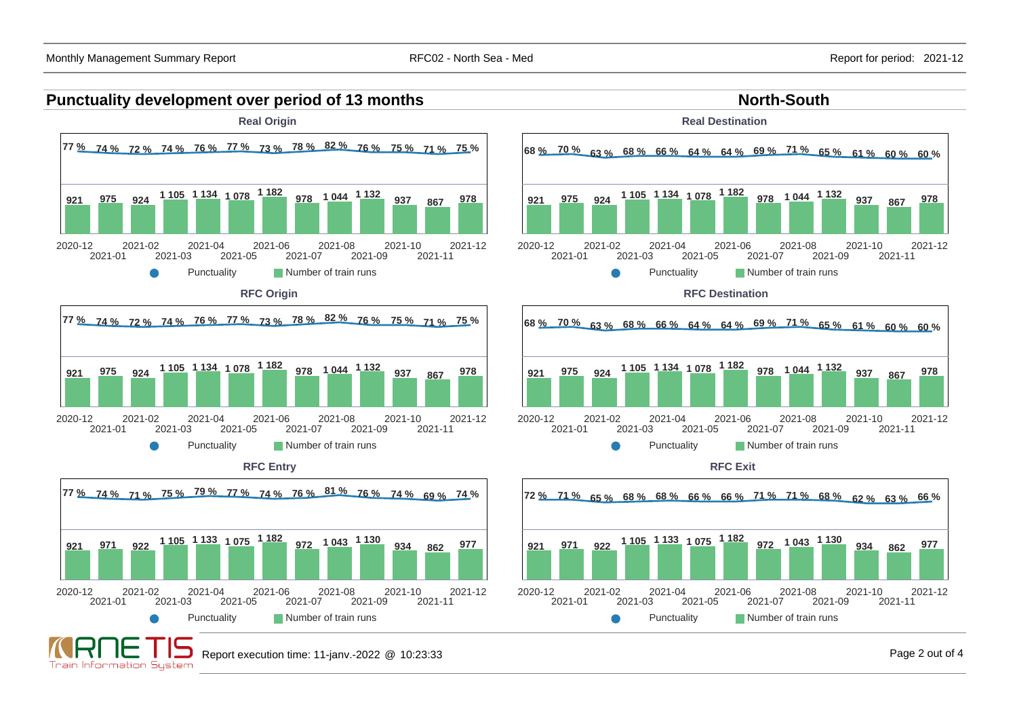



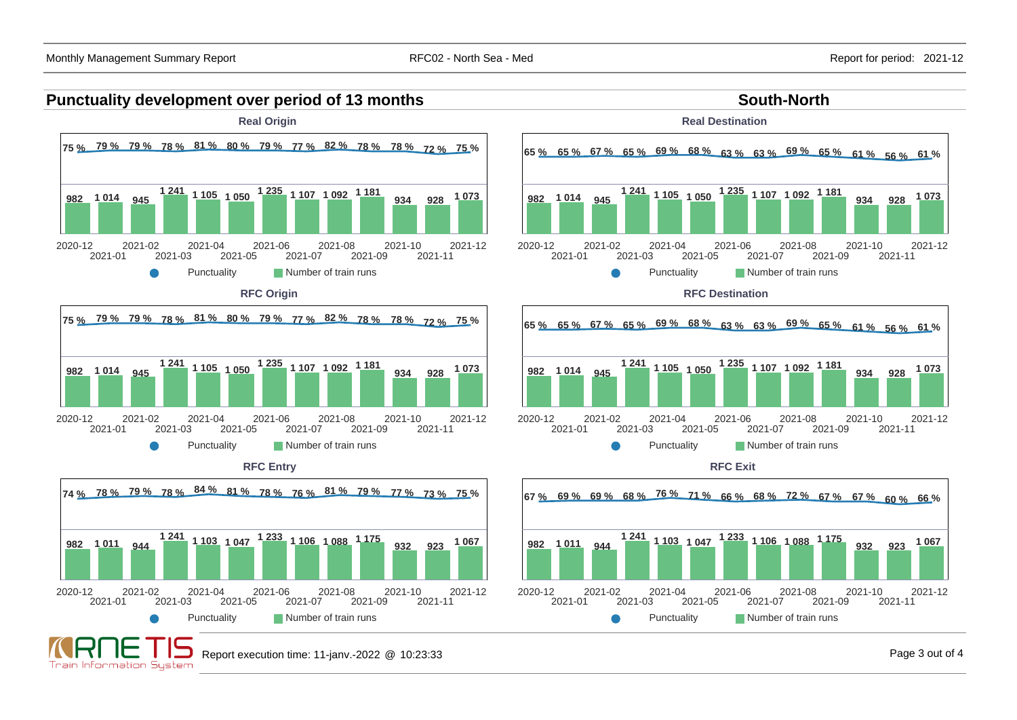Train Information Sustem

## **Punctuality development over period of 13 months South-North South-North**



Punctuality **Number of train runs** 



Punctuality **Number of train runs RFC Destination**





**RFC Exit**



Report execution time: 11-janv.-2022 @ 10:23:33 Page 3 out of 4